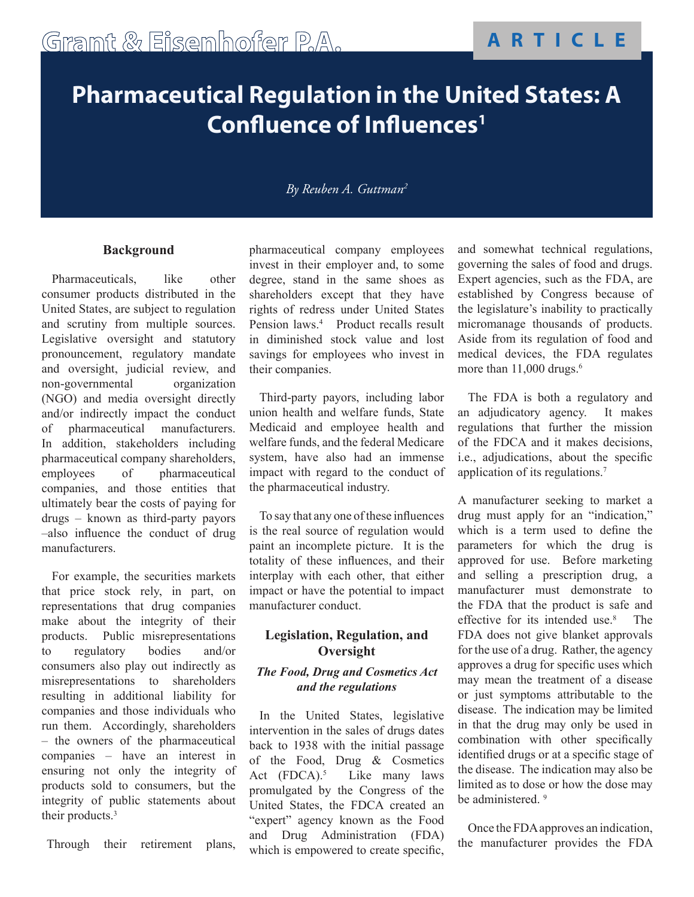# **Pharmaceutical Regulation in the United States: A Confluence of Influences1**

### *By Reuben A. Guttman2*

#### **Background**

Pharmaceuticals, like other consumer products distributed in the United States, are subject to regulation and scrutiny from multiple sources. Legislative oversight and statutory pronouncement, regulatory mandate and oversight, judicial review, and non-governmental organization (NGO) and media oversight directly and/or indirectly impact the conduct of pharmaceutical manufacturers. In addition, stakeholders including pharmaceutical company shareholders, employees of pharmaceutical companies, and those entities that ultimately bear the costs of paying for drugs – known as third-party payors –also influence the conduct of drug manufacturers.

For example, the securities markets that price stock rely, in part, on representations that drug companies make about the integrity of their products. Public misrepresentations to regulatory bodies and/or consumers also play out indirectly as misrepresentations to shareholders resulting in additional liability for companies and those individuals who run them. Accordingly, shareholders – the owners of the pharmaceutical companies – have an interest in ensuring not only the integrity of products sold to consumers, but the integrity of public statements about their products.3

Through their retirement plans,

pharmaceutical company employees invest in their employer and, to some degree, stand in the same shoes as shareholders except that they have rights of redress under United States Pension laws.<sup>4</sup> Product recalls result in diminished stock value and lost savings for employees who invest in their companies.

Third-party payors, including labor union health and welfare funds, State Medicaid and employee health and welfare funds, and the federal Medicare system, have also had an immense impact with regard to the conduct of the pharmaceutical industry.

To say that any one of these influences is the real source of regulation would paint an incomplete picture. It is the totality of these influences, and their interplay with each other, that either impact or have the potential to impact manufacturer conduct.

## **Legislation, Regulation, and Oversight**

#### *The Food, Drug and Cosmetics Act and the regulations*

In the United States, legislative intervention in the sales of drugs dates back to 1938 with the initial passage of the Food, Drug & Cosmetics Act  $(FDCA)$ .<sup>5</sup> Like many laws promulgated by the Congress of the United States, the FDCA created an "expert" agency known as the Food and Drug Administration (FDA) which is empowered to create specific, and somewhat technical regulations, governing the sales of food and drugs. Expert agencies, such as the FDA, are established by Congress because of the legislature's inability to practically micromanage thousands of products. Aside from its regulation of food and medical devices, the FDA regulates more than  $11,000$  drugs.<sup>6</sup>

The FDA is both a regulatory and an adjudicatory agency. It makes regulations that further the mission of the FDCA and it makes decisions, i.e., adjudications, about the specific application of its regulations.7

A manufacturer seeking to market a drug must apply for an "indication," which is a term used to define the parameters for which the drug is approved for use. Before marketing and selling a prescription drug, a manufacturer must demonstrate to the FDA that the product is safe and effective for its intended use.<sup>8</sup> The FDA does not give blanket approvals for the use of a drug. Rather, the agency approves a drug for specific uses which may mean the treatment of a disease or just symptoms attributable to the disease. The indication may be limited in that the drug may only be used in combination with other specifically identified drugs or at a specific stage of the disease. The indication may also be limited as to dose or how the dose may be administered.<sup>9</sup>

Once the FDA approves an indication, the manufacturer provides the FDA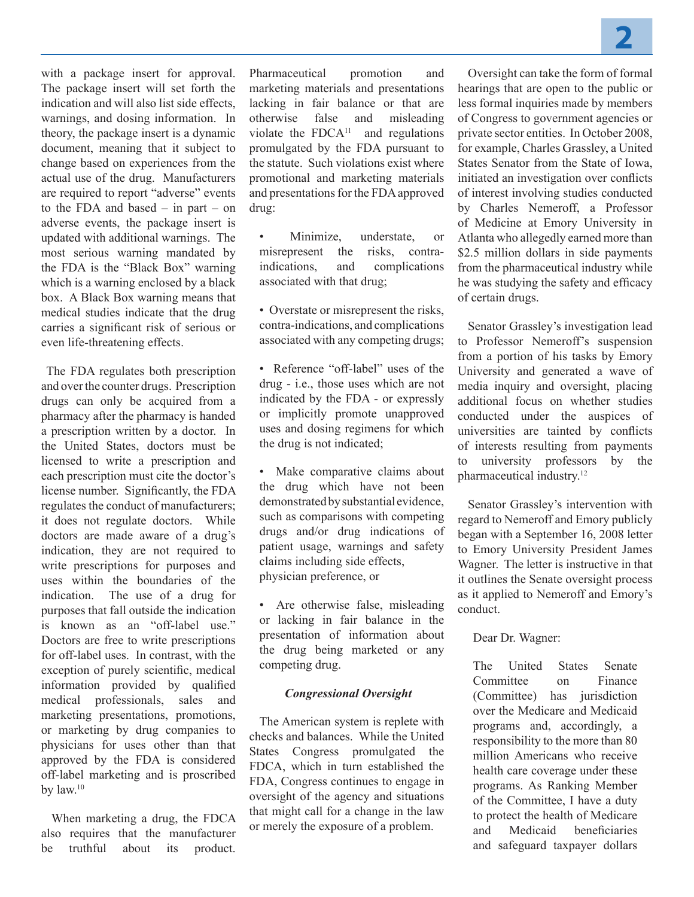with a package insert for approval. The package insert will set forth the indication and will also list side effects, warnings, and dosing information. In theory, the package insert is a dynamic document, meaning that it subject to change based on experiences from the actual use of the drug. Manufacturers are required to report "adverse" events to the FDA and based – in part – on adverse events, the package insert is updated with additional warnings. The most serious warning mandated by the FDA is the "Black Box" warning which is a warning enclosed by a black box. A Black Box warning means that medical studies indicate that the drug carries a significant risk of serious or even life-threatening effects.

The FDA regulates both prescription and over the counter drugs. Prescription drugs can only be acquired from a pharmacy after the pharmacy is handed a prescription written by a doctor. In the United States, doctors must be licensed to write a prescription and each prescription must cite the doctor's license number. Significantly, the FDA regulates the conduct of manufacturers; it does not regulate doctors. While doctors are made aware of a drug's indication, they are not required to write prescriptions for purposes and uses within the boundaries of the indication. The use of a drug for purposes that fall outside the indication is known as an "off-label use." Doctors are free to write prescriptions for off-label uses. In contrast, with the exception of purely scientific, medical information provided by qualified medical professionals, sales and marketing presentations, promotions, or marketing by drug companies to physicians for uses other than that approved by the FDA is considered off-label marketing and is proscribed by law.10

When marketing a drug, the FDCA also requires that the manufacturer be truthful about its product.

Pharmaceutical promotion and marketing materials and presentations lacking in fair balance or that are otherwise false and misleading violate the  $FDCA<sup>11</sup>$  and regulations promulgated by the FDA pursuant to the statute. Such violations exist where promotional and marketing materials and presentations for the FDA approved drug:

Minimize, understate, or misrepresent the risks, contraindications, and complications associated with that drug;

• Overstate or misrepresent the risks, contra-indications, and complications associated with any competing drugs;

• Reference "off-label" uses of the drug - i.e., those uses which are not indicated by the FDA - or expressly or implicitly promote unapproved uses and dosing regimens for which the drug is not indicated;

• Make comparative claims about the drug which have not been demonstrated by substantial evidence, such as comparisons with competing drugs and/or drug indications of patient usage, warnings and safety claims including side effects, physician preference, or

• Are otherwise false, misleading or lacking in fair balance in the presentation of information about the drug being marketed or any competing drug.

#### *Congressional Oversight*

The American system is replete with checks and balances. While the United States Congress promulgated the FDCA, which in turn established the FDA, Congress continues to engage in oversight of the agency and situations that might call for a change in the law or merely the exposure of a problem.

Oversight can take the form of formal hearings that are open to the public or less formal inquiries made by members of Congress to government agencies or private sector entities. In October 2008, for example, Charles Grassley, a United States Senator from the State of Iowa, initiated an investigation over conflicts of interest involving studies conducted by Charles Nemeroff, a Professor of Medicine at Emory University in Atlanta who allegedly earned more than \$2.5 million dollars in side payments from the pharmaceutical industry while he was studying the safety and efficacy of certain drugs.

Senator Grassley's investigation lead to Professor Nemeroff's suspension from a portion of his tasks by Emory University and generated a wave of media inquiry and oversight, placing additional focus on whether studies conducted under the auspices of universities are tainted by conflicts of interests resulting from payments to university professors by the pharmaceutical industry.12

Senator Grassley's intervention with regard to Nemeroff and Emory publicly began with a September 16, 2008 letter to Emory University President James Wagner. The letter is instructive in that it outlines the Senate oversight process as it applied to Nemeroff and Emory's conduct.

Dear Dr. Wagner:

The United States Senate Committee on Finance (Committee) has jurisdiction over the Medicare and Medicaid programs and, accordingly, a responsibility to the more than 80 million Americans who receive health care coverage under these programs. As Ranking Member of the Committee, I have a duty to protect the health of Medicare and Medicaid beneficiaries and safeguard taxpayer dollars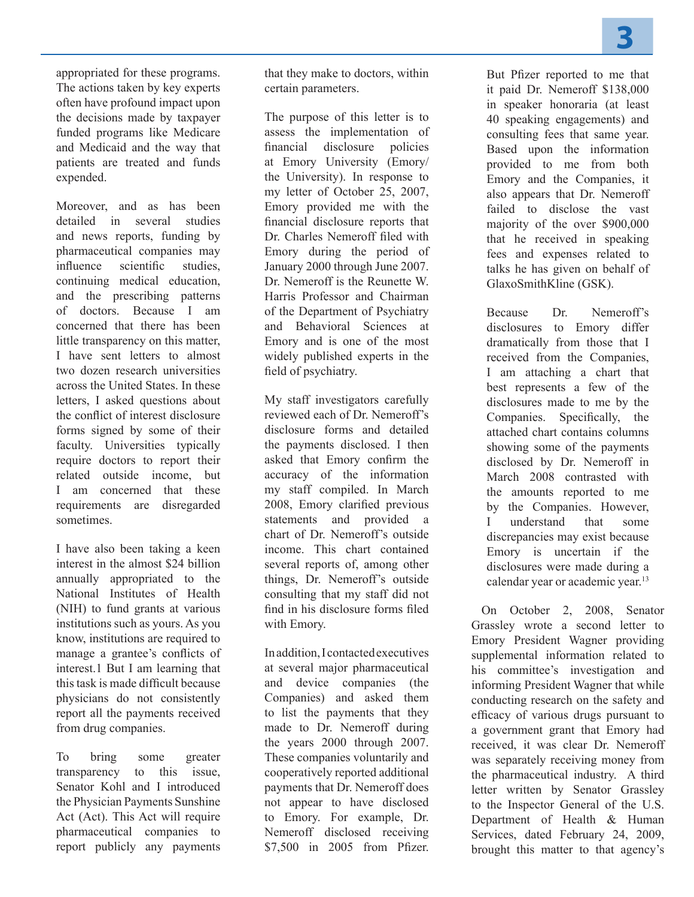appropriated for these programs. The actions taken by key experts often have profound impact upon the decisions made by taxpayer funded programs like Medicare and Medicaid and the way that patients are treated and funds expended.

Moreover, and as has been detailed in several studies and news reports, funding by pharmaceutical companies may influence scientific studies, continuing medical education, and the prescribing patterns of doctors. Because I am concerned that there has been little transparency on this matter, I have sent letters to almost two dozen research universities across the United States. In these letters, I asked questions about the conflict of interest disclosure forms signed by some of their faculty. Universities typically require doctors to report their related outside income, but I am concerned that these requirements are disregarded sometimes.

I have also been taking a keen interest in the almost \$24 billion annually appropriated to the National Institutes of Health (NIH) to fund grants at various institutions such as yours. As you know, institutions are required to manage a grantee's conflicts of interest.1 But I am learning that this task is made difficult because physicians do not consistently report all the payments received from drug companies.

To bring some greater transparency to this issue, Senator Kohl and I introduced the Physician Payments Sunshine Act (Act). This Act will require pharmaceutical companies to report publicly any payments

that they make to doctors, within certain parameters.

The purpose of this letter is to assess the implementation of financial disclosure policies at Emory University (Emory/ the University). In response to my letter of October 25, 2007, Emory provided me with the financial disclosure reports that Dr. Charles Nemeroff filed with Emory during the period of January 2000 through June 2007. Dr. Nemeroff is the Reunette W. Harris Professor and Chairman of the Department of Psychiatry and Behavioral Sciences at Emory and is one of the most widely published experts in the field of psychiatry.

My staff investigators carefully reviewed each of Dr. Nemeroff's disclosure forms and detailed the payments disclosed. I then asked that Emory confirm the accuracy of the information my staff compiled. In March 2008, Emory clarified previous statements and provided a chart of Dr. Nemeroff's outside income. This chart contained several reports of, among other things, Dr. Nemeroff's outside consulting that my staff did not find in his disclosure forms filed with Emory.

In addition, I contacted executives at several major pharmaceutical and device companies (the Companies) and asked them to list the payments that they made to Dr. Nemeroff during the years 2000 through 2007. These companies voluntarily and cooperatively reported additional payments that Dr. Nemeroff does not appear to have disclosed to Emory. For example, Dr. Nemeroff disclosed receiving \$7,500 in 2005 from Pfizer.

But Pfizer reported to me that it paid Dr. Nemeroff \$138,000 in speaker honoraria (at least 40 speaking engagements) and consulting fees that same year. Based upon the information provided to me from both Emory and the Companies, it also appears that Dr. Nemeroff failed to disclose the vast majority of the over \$900,000 that he received in speaking fees and expenses related to talks he has given on behalf of GlaxoSmithKline (GSK).

Because Dr. Nemeroff's disclosures to Emory differ dramatically from those that I received from the Companies, I am attaching a chart that best represents a few of the disclosures made to me by the Companies. Specifically, the attached chart contains columns showing some of the payments disclosed by Dr. Nemeroff in March 2008 contrasted with the amounts reported to me by the Companies. However, I understand that some discrepancies may exist because Emory is uncertain if the disclosures were made during a calendar year or academic year.<sup>13</sup>

On October 2, 2008, Senator Grassley wrote a second letter to Emory President Wagner providing supplemental information related to his committee's investigation and informing President Wagner that while conducting research on the safety and efficacy of various drugs pursuant to a government grant that Emory had received, it was clear Dr. Nemeroff was separately receiving money from the pharmaceutical industry. A third letter written by Senator Grassley to the Inspector General of the U.S. Department of Health & Human Services, dated February 24, 2009, brought this matter to that agency's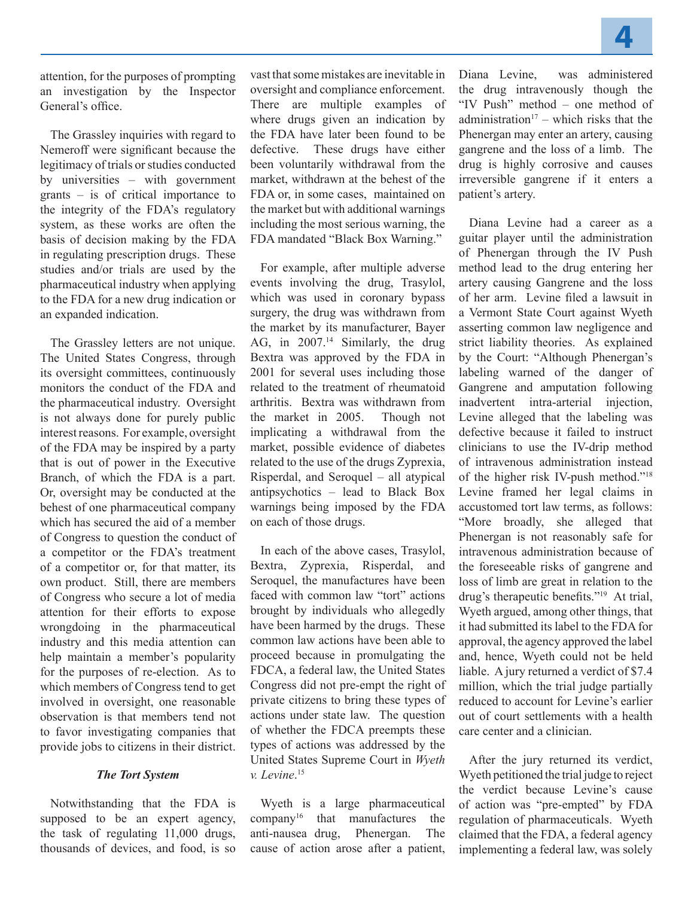attention, for the purposes of prompting an investigation by the Inspector General's office.

The Grassley inquiries with regard to Nemeroff were significant because the legitimacy of trials or studies conducted by universities – with government grants – is of critical importance to the integrity of the FDA's regulatory system, as these works are often the basis of decision making by the FDA in regulating prescription drugs. These studies and/or trials are used by the pharmaceutical industry when applying to the FDA for a new drug indication or an expanded indication.

The Grassley letters are not unique. The United States Congress, through its oversight committees, continuously monitors the conduct of the FDA and the pharmaceutical industry. Oversight is not always done for purely public interest reasons. For example, oversight of the FDA may be inspired by a party that is out of power in the Executive Branch, of which the FDA is a part. Or, oversight may be conducted at the behest of one pharmaceutical company which has secured the aid of a member of Congress to question the conduct of a competitor or the FDA's treatment of a competitor or, for that matter, its own product. Still, there are members of Congress who secure a lot of media attention for their efforts to expose wrongdoing in the pharmaceutical industry and this media attention can help maintain a member's popularity for the purposes of re-election. As to which members of Congress tend to get involved in oversight, one reasonable observation is that members tend not to favor investigating companies that provide jobs to citizens in their district.

#### *The Tort System*

Notwithstanding that the FDA is supposed to be an expert agency, the task of regulating 11,000 drugs, thousands of devices, and food, is so

vast that some mistakes are inevitable in oversight and compliance enforcement. There are multiple examples of where drugs given an indication by the FDA have later been found to be defective. These drugs have either been voluntarily withdrawal from the market, withdrawn at the behest of the FDA or, in some cases, maintained on the market but with additional warnings including the most serious warning, the FDA mandated "Black Box Warning."

For example, after multiple adverse events involving the drug, Trasylol, which was used in coronary bypass surgery, the drug was withdrawn from the market by its manufacturer, Bayer AG, in 2007.<sup>14</sup> Similarly, the drug Bextra was approved by the FDA in 2001 for several uses including those related to the treatment of rheumatoid arthritis. Bextra was withdrawn from the market in 2005. Though not implicating a withdrawal from the market, possible evidence of diabetes related to the use of the drugs Zyprexia, Risperdal, and Seroquel – all atypical antipsychotics – lead to Black Box warnings being imposed by the FDA on each of those drugs.

In each of the above cases, Trasylol, Bextra, Zyprexia, Risperdal, and Seroquel, the manufactures have been faced with common law "tort" actions brought by individuals who allegedly have been harmed by the drugs. These common law actions have been able to proceed because in promulgating the FDCA, a federal law, the United States Congress did not pre-empt the right of private citizens to bring these types of actions under state law. The question of whether the FDCA preempts these types of actions was addressed by the United States Supreme Court in *Wyeth v. Levine*. 15

Wyeth is a large pharmaceutical company16 that manufactures the anti-nausea drug, Phenergan. The cause of action arose after a patient,

Diana Levine, was administered the drug intravenously though the "IV Push" method – one method of administration<sup>17</sup> – which risks that the Phenergan may enter an artery, causing gangrene and the loss of a limb. The drug is highly corrosive and causes irreversible gangrene if it enters a patient's artery.

Diana Levine had a career as a guitar player until the administration of Phenergan through the IV Push method lead to the drug entering her artery causing Gangrene and the loss of her arm. Levine filed a lawsuit in a Vermont State Court against Wyeth asserting common law negligence and strict liability theories. As explained by the Court: "Although Phenergan's labeling warned of the danger of Gangrene and amputation following inadvertent intra-arterial injection, Levine alleged that the labeling was defective because it failed to instruct clinicians to use the IV-drip method of intravenous administration instead of the higher risk IV-push method."18 Levine framed her legal claims in accustomed tort law terms, as follows: "More broadly, she alleged that Phenergan is not reasonably safe for intravenous administration because of the foreseeable risks of gangrene and loss of limb are great in relation to the drug's therapeutic benefits."19 At trial, Wyeth argued, among other things, that it had submitted its label to the FDA for approval, the agency approved the label and, hence, Wyeth could not be held liable. A jury returned a verdict of \$7.4 million, which the trial judge partially reduced to account for Levine's earlier out of court settlements with a health care center and a clinician.

After the jury returned its verdict, Wyeth petitioned the trial judge to reject the verdict because Levine's cause of action was "pre-empted" by FDA regulation of pharmaceuticals. Wyeth claimed that the FDA, a federal agency implementing a federal law, was solely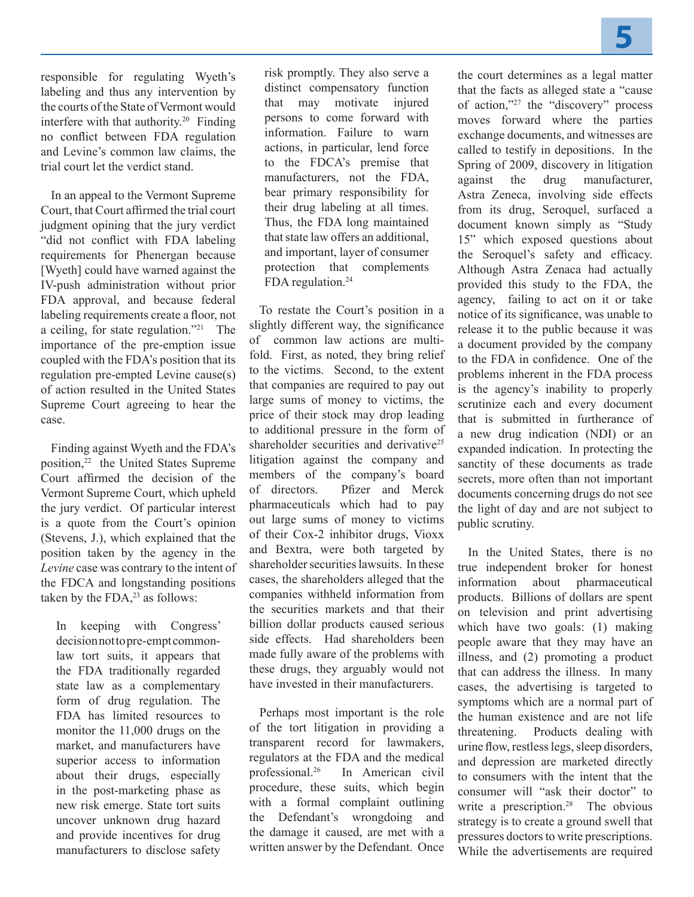responsible for regulating Wyeth's labeling and thus any intervention by the courts of the State of Vermont would interfere with that authority.20 Finding no conflict between FDA regulation and Levine's common law claims, the trial court let the verdict stand.

In an appeal to the Vermont Supreme Court, that Court affirmed the trial court judgment opining that the jury verdict "did not conflict with FDA labeling requirements for Phenergan because [Wyeth] could have warned against the IV-push administration without prior FDA approval, and because federal labeling requirements create a floor, not a ceiling, for state regulation."21 The importance of the pre-emption issue coupled with the FDA's position that its regulation pre-empted Levine cause(s) of action resulted in the United States Supreme Court agreeing to hear the case.

Finding against Wyeth and the FDA's position,<sup>22</sup> the United States Supreme Court affirmed the decision of the Vermont Supreme Court, which upheld the jury verdict. Of particular interest is a quote from the Court's opinion (Stevens, J.), which explained that the position taken by the agency in the *Levine* case was contrary to the intent of the FDCA and longstanding positions taken by the FDA, $^{23}$  as follows:

In keeping with Congress' decision not to pre-empt commonlaw tort suits, it appears that the FDA traditionally regarded state law as a complementary form of drug regulation. The FDA has limited resources to monitor the 11,000 drugs on the market, and manufacturers have superior access to information about their drugs, especially in the post-marketing phase as new risk emerge. State tort suits uncover unknown drug hazard and provide incentives for drug manufacturers to disclose safety

risk promptly. They also serve a distinct compensatory function that may motivate injured persons to come forward with information. Failure to warn actions, in particular, lend force to the FDCA's premise that manufacturers, not the FDA, bear primary responsibility for their drug labeling at all times. Thus, the FDA long maintained that state law offers an additional, and important, layer of consumer protection that complements FDA regulation.<sup>24</sup>

To restate the Court's position in a slightly different way, the significance of common law actions are multifold. First, as noted, they bring relief to the victims. Second, to the extent that companies are required to pay out large sums of money to victims, the price of their stock may drop leading to additional pressure in the form of shareholder securities and derivative<sup>25</sup> litigation against the company and members of the company's board of directors. Pfizer and Merck pharmaceuticals which had to pay out large sums of money to victims of their Cox-2 inhibitor drugs, Vioxx and Bextra, were both targeted by shareholder securities lawsuits. In these cases, the shareholders alleged that the companies withheld information from the securities markets and that their billion dollar products caused serious side effects. Had shareholders been made fully aware of the problems with these drugs, they arguably would not have invested in their manufacturers.

Perhaps most important is the role of the tort litigation in providing a transparent record for lawmakers, regulators at the FDA and the medical professional.26 In American civil procedure, these suits, which begin with a formal complaint outlining the Defendant's wrongdoing and the damage it caused, are met with a written answer by the Defendant. Once the court determines as a legal matter that the facts as alleged state a "cause of action,"27 the "discovery" process moves forward where the parties exchange documents, and witnesses are called to testify in depositions. In the Spring of 2009, discovery in litigation against the drug manufacturer, Astra Zeneca, involving side effects from its drug, Seroquel, surfaced a document known simply as "Study 15" which exposed questions about the Seroquel's safety and efficacy. Although Astra Zenaca had actually provided this study to the FDA, the agency, failing to act on it or take notice of its significance, was unable to release it to the public because it was a document provided by the company to the FDA in confidence. One of the problems inherent in the FDA process is the agency's inability to properly scrutinize each and every document that is submitted in furtherance of a new drug indication (NDI) or an expanded indication. In protecting the sanctity of these documents as trade secrets, more often than not important documents concerning drugs do not see the light of day and are not subject to public scrutiny.

In the United States, there is no true independent broker for honest information about pharmaceutical products. Billions of dollars are spent on television and print advertising which have two goals: (1) making people aware that they may have an illness, and (2) promoting a product that can address the illness. In many cases, the advertising is targeted to symptoms which are a normal part of the human existence and are not life threatening. Products dealing with urine flow, restless legs, sleep disorders, and depression are marketed directly to consumers with the intent that the consumer will "ask their doctor" to write a prescription.<sup>28</sup> The obvious strategy is to create a ground swell that pressures doctors to write prescriptions. While the advertisements are required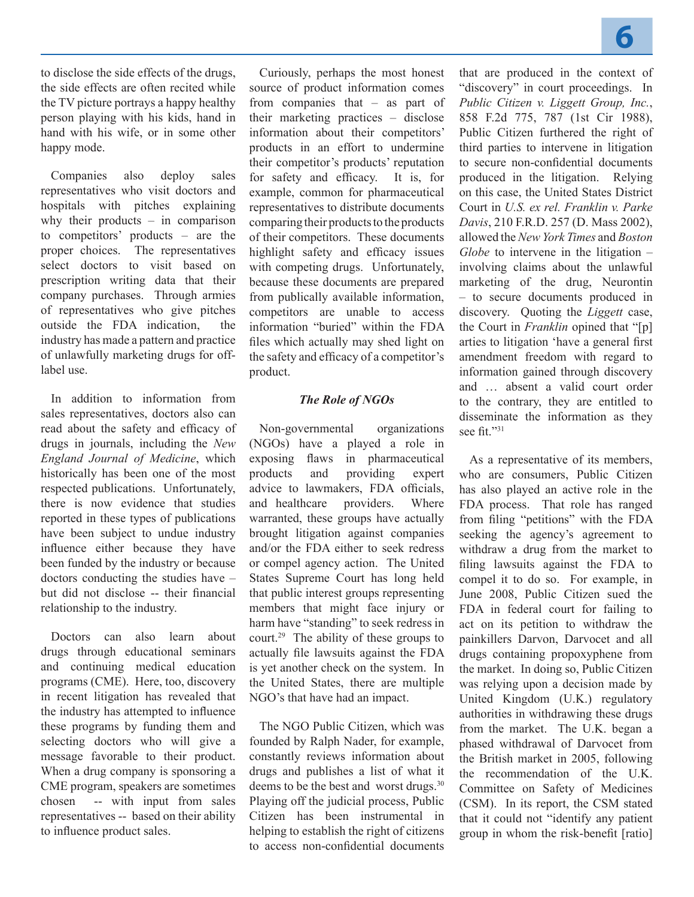to disclose the side effects of the drugs, the side effects are often recited while the TV picture portrays a happy healthy person playing with his kids, hand in hand with his wife, or in some other happy mode.

Companies also deploy sales representatives who visit doctors and hospitals with pitches explaining why their products – in comparison to competitors' products – are the proper choices. The representatives select doctors to visit based on prescription writing data that their company purchases. Through armies of representatives who give pitches outside the FDA indication, the industry has made a pattern and practice of unlawfully marketing drugs for offlabel use.

In addition to information from sales representatives, doctors also can read about the safety and efficacy of drugs in journals, including the *New England Journal of Medicine*, which historically has been one of the most respected publications. Unfortunately, there is now evidence that studies reported in these types of publications have been subject to undue industry influence either because they have been funded by the industry or because doctors conducting the studies have – but did not disclose -- their financial relationship to the industry.

Doctors can also learn about drugs through educational seminars and continuing medical education programs (CME). Here, too, discovery in recent litigation has revealed that the industry has attempted to influence these programs by funding them and selecting doctors who will give a message favorable to their product. When a drug company is sponsoring a CME program, speakers are sometimes chosen -- with input from sales representatives -- based on their ability to influence product sales.

Curiously, perhaps the most honest source of product information comes from companies that – as part of their marketing practices – disclose information about their competitors' products in an effort to undermine their competitor's products' reputation for safety and efficacy. It is, for example, common for pharmaceutical representatives to distribute documents comparing their products to the products of their competitors. These documents highlight safety and efficacy issues with competing drugs. Unfortunately, because these documents are prepared from publically available information, competitors are unable to access information "buried" within the FDA files which actually may shed light on the safety and efficacy of a competitor's product.

#### *The Role of NGOs*

Non-governmental organizations (NGOs) have a played a role in exposing flaws in pharmaceutical products and providing expert advice to lawmakers, FDA officials, and healthcare providers. Where warranted, these groups have actually brought litigation against companies and/or the FDA either to seek redress or compel agency action. The United States Supreme Court has long held that public interest groups representing members that might face injury or harm have "standing" to seek redress in court.29 The ability of these groups to actually file lawsuits against the FDA is yet another check on the system. In the United States, there are multiple NGO's that have had an impact.

The NGO Public Citizen, which was founded by Ralph Nader, for example, constantly reviews information about drugs and publishes a list of what it deems to be the best and worst drugs.<sup>30</sup> Playing off the judicial process, Public Citizen has been instrumental in helping to establish the right of citizens to access non-confidential documents that are produced in the context of "discovery" in court proceedings. In *Public Citizen v. Liggett Group, Inc.*, 858 F.2d 775, 787 (1st Cir 1988), Public Citizen furthered the right of third parties to intervene in litigation to secure non-confidential documents produced in the litigation. Relying on this case, the United States District Court in *U.S. ex rel. Franklin v. Parke Davis*, 210 F.R.D. 257 (D. Mass 2002), allowed the *New York Times* and *Boston Globe* to intervene in the litigation – involving claims about the unlawful marketing of the drug, Neurontin – to secure documents produced in discovery. Quoting the *Liggett* case, the Court in *Franklin* opined that "[p] arties to litigation 'have a general first amendment freedom with regard to information gained through discovery and … absent a valid court order to the contrary, they are entitled to disseminate the information as they see fit."31

As a representative of its members, who are consumers, Public Citizen has also played an active role in the FDA process. That role has ranged from filing "petitions" with the FDA seeking the agency's agreement to withdraw a drug from the market to filing lawsuits against the FDA to compel it to do so. For example, in June 2008, Public Citizen sued the FDA in federal court for failing to act on its petition to withdraw the painkillers Darvon, Darvocet and all drugs containing propoxyphene from the market. In doing so, Public Citizen was relying upon a decision made by United Kingdom (U.K.) regulatory authorities in withdrawing these drugs from the market. The U.K. began a phased withdrawal of Darvocet from the British market in 2005, following the recommendation of the U.K. Committee on Safety of Medicines (CSM). In its report, the CSM stated that it could not "identify any patient group in whom the risk-benefit [ratio]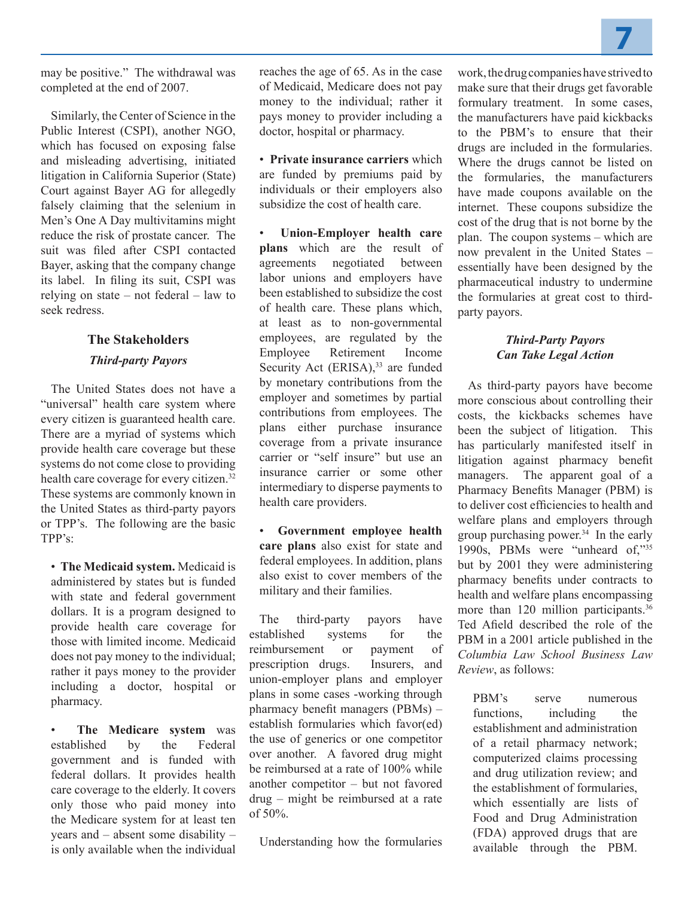may be positive." The withdrawal was completed at the end of 2007.

Similarly, the Center of Science in the Public Interest (CSPI), another NGO, which has focused on exposing false and misleading advertising, initiated litigation in California Superior (State) Court against Bayer AG for allegedly falsely claiming that the selenium in Men's One A Day multivitamins might reduce the risk of prostate cancer. The suit was filed after CSPI contacted Bayer, asking that the company change its label. In filing its suit, CSPI was relying on state – not federal – law to seek redress.

## **The Stakeholders**

## *Third-party Payors*

The United States does not have a "universal" health care system where every citizen is guaranteed health care. There are a myriad of systems which provide health care coverage but these systems do not come close to providing health care coverage for every citizen.32 These systems are commonly known in the United States as third-party payors or TPP's. The following are the basic TPP's:

• **The Medicaid system.** Medicaid is administered by states but is funded with state and federal government dollars. It is a program designed to provide health care coverage for those with limited income. Medicaid does not pay money to the individual; rather it pays money to the provider including a doctor, hospital or pharmacy.

• **The Medicare system** was established by the Federal government and is funded with federal dollars. It provides health care coverage to the elderly. It covers only those who paid money into the Medicare system for at least ten years and – absent some disability – is only available when the individual reaches the age of 65. As in the case of Medicaid, Medicare does not pay money to the individual; rather it pays money to provider including a doctor, hospital or pharmacy.

• **Private insurance carriers** which are funded by premiums paid by individuals or their employers also subsidize the cost of health care.

• **Union-Employer health care plans** which are the result of agreements negotiated between labor unions and employers have been established to subsidize the cost of health care. These plans which, at least as to non-governmental employees, are regulated by the Employee Retirement Income Security Act (ERISA),<sup>33</sup> are funded by monetary contributions from the employer and sometimes by partial contributions from employees. The plans either purchase insurance coverage from a private insurance carrier or "self insure" but use an insurance carrier or some other intermediary to disperse payments to health care providers.

• **Government employee health care plans** also exist for state and federal employees. In addition, plans also exist to cover members of the military and their families.

The third-party payors have established systems for the reimbursement or payment of prescription drugs. Insurers, and union-employer plans and employer plans in some cases -working through pharmacy benefit managers (PBMs) – establish formularies which favor(ed) the use of generics or one competitor over another. A favored drug might be reimbursed at a rate of 100% while another competitor – but not favored drug – might be reimbursed at a rate of  $50%$ .

Understanding how the formularies

work, the drug companies have strived to make sure that their drugs get favorable formulary treatment. In some cases, the manufacturers have paid kickbacks to the PBM's to ensure that their drugs are included in the formularies. Where the drugs cannot be listed on the formularies, the manufacturers have made coupons available on the internet. These coupons subsidize the cost of the drug that is not borne by the plan. The coupon systems – which are now prevalent in the United States – essentially have been designed by the pharmaceutical industry to undermine the formularies at great cost to thirdparty payors.

## *Third-Party Payors Can Take Legal Action*

As third-party payors have become more conscious about controlling their costs, the kickbacks schemes have been the subject of litigation. This has particularly manifested itself in litigation against pharmacy benefit managers. The apparent goal of a Pharmacy Benefits Manager (PBM) is to deliver cost efficiencies to health and welfare plans and employers through group purchasing power. $34$  In the early 1990s, PBMs were "unheard of,"35 but by 2001 they were administering pharmacy benefits under contracts to health and welfare plans encompassing more than 120 million participants.<sup>36</sup> Ted Afield described the role of the PBM in a 2001 article published in the *Columbia Law School Business Law Review*, as follows:

PBM's serve numerous functions, including the establishment and administration of a retail pharmacy network; computerized claims processing and drug utilization review; and the establishment of formularies, which essentially are lists of Food and Drug Administration (FDA) approved drugs that are available through the PBM.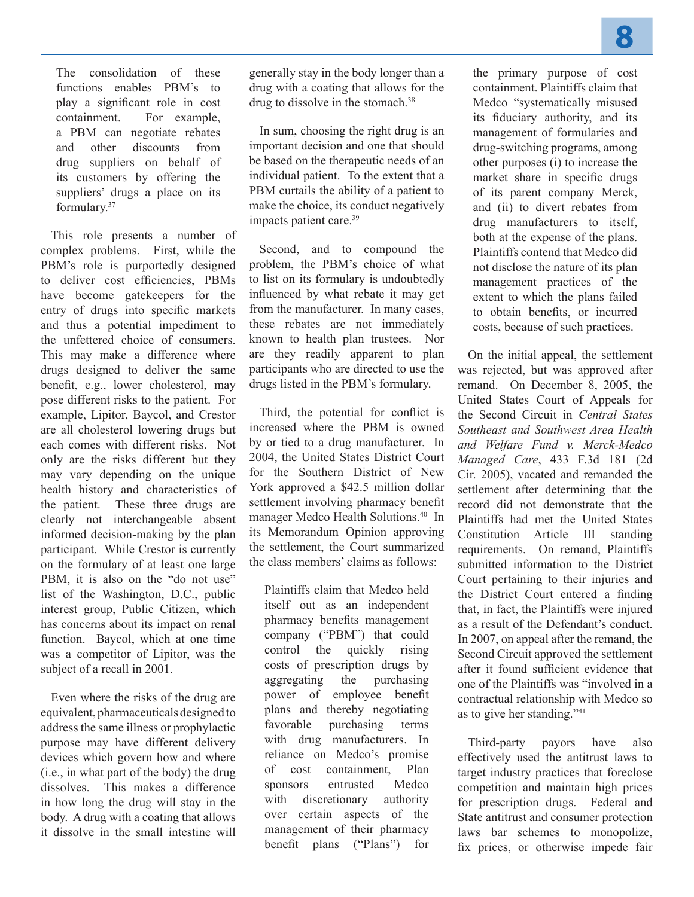The consolidation of these functions enables PBM's to play a significant role in cost containment. For example, a PBM can negotiate rebates and other discounts from drug suppliers on behalf of its customers by offering the suppliers' drugs a place on its formulary.37

This role presents a number of complex problems. First, while the PBM's role is purportedly designed to deliver cost efficiencies, PBMs have become gatekeepers for the entry of drugs into specific markets and thus a potential impediment to the unfettered choice of consumers. This may make a difference where drugs designed to deliver the same benefit, e.g., lower cholesterol, may pose different risks to the patient. For example, Lipitor, Baycol, and Crestor are all cholesterol lowering drugs but each comes with different risks. Not only are the risks different but they may vary depending on the unique health history and characteristics of the patient. These three drugs are clearly not interchangeable absent informed decision-making by the plan participant. While Crestor is currently on the formulary of at least one large PBM, it is also on the "do not use" list of the Washington, D.C., public interest group, Public Citizen, which has concerns about its impact on renal function. Baycol, which at one time was a competitor of Lipitor, was the subject of a recall in 2001.

Even where the risks of the drug are equivalent, pharmaceuticals designed to address the same illness or prophylactic purpose may have different delivery devices which govern how and where (i.e., in what part of the body) the drug dissolves. This makes a difference in how long the drug will stay in the body. A drug with a coating that allows it dissolve in the small intestine will

generally stay in the body longer than a drug with a coating that allows for the drug to dissolve in the stomach  $38$ 

In sum, choosing the right drug is an important decision and one that should be based on the therapeutic needs of an individual patient. To the extent that a PBM curtails the ability of a patient to make the choice, its conduct negatively impacts patient care.<sup>39</sup>

Second, and to compound the problem, the PBM's choice of what to list on its formulary is undoubtedly influenced by what rebate it may get from the manufacturer. In many cases, these rebates are not immediately known to health plan trustees. Nor are they readily apparent to plan participants who are directed to use the drugs listed in the PBM's formulary.

Third, the potential for conflict is increased where the PBM is owned by or tied to a drug manufacturer. In 2004, the United States District Court for the Southern District of New York approved a \$42.5 million dollar settlement involving pharmacy benefit manager Medco Health Solutions.<sup>40</sup> In its Memorandum Opinion approving the settlement, the Court summarized the class members' claims as follows:

Plaintiffs claim that Medco held itself out as an independent pharmacy benefits management company ("PBM") that could control the quickly rising costs of prescription drugs by aggregating the purchasing power of employee benefit plans and thereby negotiating favorable purchasing terms with drug manufacturers. In reliance on Medco's promise of cost containment, Plan sponsors entrusted Medco with discretionary authority over certain aspects of the management of their pharmacy benefit plans ("Plans") for the primary purpose of cost containment. Plaintiffs claim that Medco "systematically misused its fiduciary authority, and its management of formularies and drug-switching programs, among other purposes (i) to increase the market share in specific drugs of its parent company Merck, and (ii) to divert rebates from drug manufacturers to itself, both at the expense of the plans. Plaintiffs contend that Medco did not disclose the nature of its plan management practices of the extent to which the plans failed to obtain benefits, or incurred costs, because of such practices.

On the initial appeal, the settlement was rejected, but was approved after remand. On December 8, 2005, the United States Court of Appeals for the Second Circuit in *Central States Southeast and Southwest Area Health and Welfare Fund v. Merck-Medco Managed Care*, 433 F.3d 181 (2d Cir. 2005), vacated and remanded the settlement after determining that the record did not demonstrate that the Plaintiffs had met the United States Constitution Article III standing requirements. On remand, Plaintiffs submitted information to the District Court pertaining to their injuries and the District Court entered a finding that, in fact, the Plaintiffs were injured as a result of the Defendant's conduct. In 2007, on appeal after the remand, the Second Circuit approved the settlement after it found sufficient evidence that one of the Plaintiffs was "involved in a contractual relationship with Medco so as to give her standing."41

Third-party payors have also effectively used the antitrust laws to target industry practices that foreclose competition and maintain high prices for prescription drugs. Federal and State antitrust and consumer protection laws bar schemes to monopolize, fix prices, or otherwise impede fair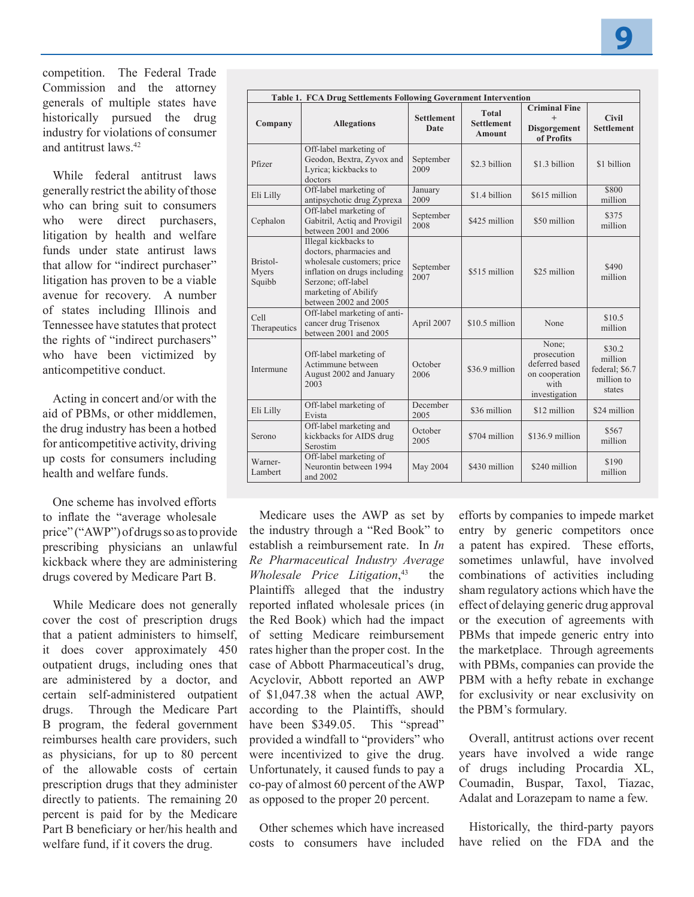competition. The Federal Trade Commission and the attorney generals of multiple states have historically pursued the drug industry for violations of consumer and antitrust laws<sup>42</sup>

While federal antitrust laws generally restrict the ability of those who can bring suit to consumers who were direct purchasers, litigation by health and welfare funds under state antirust laws that allow for "indirect purchaser" litigation has proven to be a viable avenue for recovery. A number of states including Illinois and Tennessee have statutes that protect the rights of "indirect purchasers" who have been victimized by anticompetitive conduct.

Acting in concert and/or with the aid of PBMs, or other middlemen, the drug industry has been a hotbed for anticompetitive activity, driving up costs for consumers including health and welfare funds.

One scheme has involved efforts to inflate the "average wholesale price" ("AWP") of drugs so as to provide prescribing physicians an unlawful kickback where they are administering drugs covered by Medicare Part B.

While Medicare does not generally cover the cost of prescription drugs that a patient administers to himself, it does cover approximately 450 outpatient drugs, including ones that are administered by a doctor, and certain self-administered outpatient drugs. Through the Medicare Part B program, the federal government reimburses health care providers, such as physicians, for up to 80 percent of the allowable costs of certain prescription drugs that they administer directly to patients. The remaining 20 percent is paid for by the Medicare Part B beneficiary or her/his health and welfare fund, if it covers the drug.

| Table 1. FCA Drug Settlements Following Government Intervention |                                                                                                                                                                                      |                           |                                                    |                                                                                   |                                                             |
|-----------------------------------------------------------------|--------------------------------------------------------------------------------------------------------------------------------------------------------------------------------------|---------------------------|----------------------------------------------------|-----------------------------------------------------------------------------------|-------------------------------------------------------------|
| Company                                                         | <b>Allegations</b>                                                                                                                                                                   | <b>Settlement</b><br>Date | <b>Total</b><br><b>Settlement</b><br><b>Amount</b> | <b>Criminal Fine</b><br>$^{+}$<br><b>Disgorgement</b><br>of Profits               | <b>Civil</b><br><b>Settlement</b>                           |
| Pfizer                                                          | Off-label marketing of<br>Geodon, Bextra, Zyvox and<br>Lyrica; kickbacks to<br>doctors                                                                                               | September<br>2009         | \$2.3 billion                                      | \$1.3 billion                                                                     | \$1 billion                                                 |
| Eli Lilly                                                       | Off-label marketing of<br>antipsychotic drug Zyprexa                                                                                                                                 | January<br>2009           | \$1.4 billion                                      | \$615 million                                                                     | \$800<br>million                                            |
| Cephalon                                                        | Off-label marketing of<br>Gabitril, Actiq and Provigil<br>between 2001 and 2006                                                                                                      | September<br>2008         | \$425 million                                      | \$50 million                                                                      | \$375<br>million                                            |
| Bristol-<br>Myers<br>Squibb                                     | Illegal kickbacks to<br>doctors, pharmacies and<br>wholesale customers; price<br>inflation on drugs including<br>Serzone; off-label<br>marketing of Abilify<br>between 2002 and 2005 | September<br>2007         | \$515 million                                      | \$25 million                                                                      | \$490<br>million                                            |
| Cell<br>Therapeutics                                            | Off-label marketing of anti-<br>cancer drug Trisenox<br>between 2001 and 2005                                                                                                        | April 2007                | \$10.5 million                                     | None                                                                              | \$10.5<br>million                                           |
| Intermune                                                       | Off-label marketing of<br>Actimmune between<br>August 2002 and January<br>2003                                                                                                       | October<br>2006           | \$36.9 million                                     | None;<br>prosecution<br>deferred based<br>on cooperation<br>with<br>investigation | \$30.2<br>million<br>federal; \$6.7<br>million to<br>states |
| Eli Lilly                                                       | Off-label marketing of<br>Evista                                                                                                                                                     | December<br>2005          | \$36 million                                       | \$12 million                                                                      | \$24 million                                                |
| Serono                                                          | Off-label marketing and<br>kickbacks for AIDS drug<br>Serostim                                                                                                                       | October<br>2005           | \$704 million                                      | $$136.9$ million                                                                  | \$567<br>million                                            |
| Warner-<br>Lambert                                              | Off-label marketing of<br>Neurontin between 1994<br>and 2002                                                                                                                         | May 2004                  | \$430 million                                      | \$240 million                                                                     | \$190<br>million                                            |

Medicare uses the AWP as set by the industry through a "Red Book" to establish a reimbursement rate. In *In Re Pharmaceutical Industry Average Wholesale Price Litigation*, the Plaintiffs alleged that the industry reported inflated wholesale prices (in the Red Book) which had the impact of setting Medicare reimbursement rates higher than the proper cost. In the case of Abbott Pharmaceutical's drug, Acyclovir, Abbott reported an AWP of \$1,047.38 when the actual AWP, according to the Plaintiffs, should have been \$349.05. This "spread" provided a windfall to "providers" who were incentivized to give the drug. Unfortunately, it caused funds to pay a co-pay of almost 60 percent of the AWP as opposed to the proper 20 percent.

Other schemes which have increased costs to consumers have included

efforts by companies to impede market entry by generic competitors once a patent has expired. These efforts, sometimes unlawful, have involved combinations of activities including sham regulatory actions which have the effect of delaying generic drug approval or the execution of agreements with PBMs that impede generic entry into the marketplace. Through agreements with PBMs, companies can provide the PBM with a hefty rebate in exchange for exclusivity or near exclusivity on the PBM's formulary.

Overall, antitrust actions over recent years have involved a wide range of drugs including Procardia XL, Coumadin, Buspar, Taxol, Tiazac, Adalat and Lorazepam to name a few.

Historically, the third-party payors have relied on the FDA and the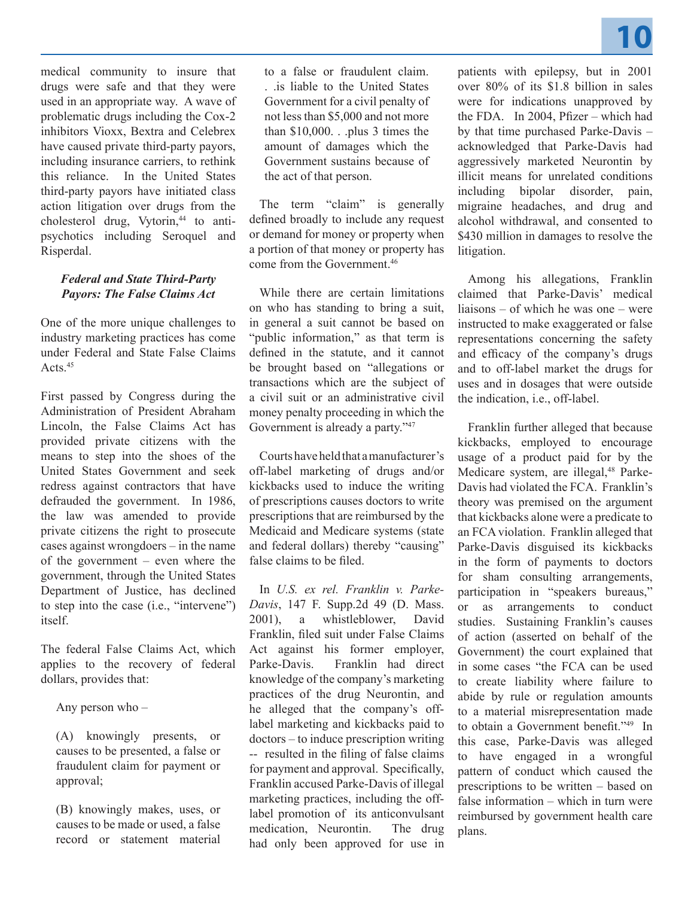

medical community to insure that drugs were safe and that they were used in an appropriate way. A wave of problematic drugs including the Cox-2 inhibitors Vioxx, Bextra and Celebrex have caused private third-party payors, including insurance carriers, to rethink this reliance. In the United States third-party payors have initiated class action litigation over drugs from the cholesterol drug, Vytorin, $44$  to antipsychotics including Seroquel and Risperdal.

#### *Federal and State Third-Party Payors: The False Claims Act*

One of the more unique challenges to industry marketing practices has come under Federal and State False Claims Acts.45

First passed by Congress during the Administration of President Abraham Lincoln, the False Claims Act has provided private citizens with the means to step into the shoes of the United States Government and seek redress against contractors that have defrauded the government. In 1986, the law was amended to provide private citizens the right to prosecute cases against wrongdoers – in the name of the government – even where the government, through the United States Department of Justice, has declined to step into the case (i.e., "intervene") itself.

The federal False Claims Act, which applies to the recovery of federal dollars, provides that:

Any person who –

(A) knowingly presents, or causes to be presented, a false or fraudulent claim for payment or approval;

(B) knowingly makes, uses, or causes to be made or used, a false record or statement material

to a false or fraudulent claim. . .is liable to the United States Government for a civil penalty of not less than \$5,000 and not more than  $$10,000$ . . .plus 3 times the amount of damages which the Government sustains because of the act of that person.

The term "claim" is generally defined broadly to include any request or demand for money or property when a portion of that money or property has come from the Government<sup>46</sup>

While there are certain limitations on who has standing to bring a suit, in general a suit cannot be based on "public information," as that term is defined in the statute, and it cannot be brought based on "allegations or transactions which are the subject of a civil suit or an administrative civil money penalty proceeding in which the Government is already a party."<sup>47</sup>

Courts have held that a manufacturer's off-label marketing of drugs and/or kickbacks used to induce the writing of prescriptions causes doctors to write prescriptions that are reimbursed by the Medicaid and Medicare systems (state and federal dollars) thereby "causing" false claims to be filed.

In *U.S. ex rel. Franklin v. Parke-Davis*, 147 F. Supp.2d 49 (D. Mass. 2001), a whistleblower, David Franklin, filed suit under False Claims Act against his former employer, Parke-Davis. Franklin had direct knowledge of the company's marketing practices of the drug Neurontin, and he alleged that the company's offlabel marketing and kickbacks paid to doctors – to induce prescription writing -- resulted in the filing of false claims for payment and approval. Specifically, Franklin accused Parke-Davis of illegal marketing practices, including the offlabel promotion of its anticonvulsant medication, Neurontin. The drug had only been approved for use in patients with epilepsy, but in 2001 over 80% of its \$1.8 billion in sales were for indications unapproved by the FDA. In 2004, Pfizer – which had by that time purchased Parke-Davis – acknowledged that Parke-Davis had aggressively marketed Neurontin by illicit means for unrelated conditions including bipolar disorder, pain, migraine headaches, and drug and alcohol withdrawal, and consented to \$430 million in damages to resolve the litigation.

Among his allegations, Franklin claimed that Parke-Davis' medical liaisons – of which he was one – were instructed to make exaggerated or false representations concerning the safety and efficacy of the company's drugs and to off-label market the drugs for uses and in dosages that were outside the indication, i.e., off-label.

Franklin further alleged that because kickbacks, employed to encourage usage of a product paid for by the Medicare system, are illegal,<sup>48</sup> Parke-Davis had violated the FCA. Franklin's theory was premised on the argument that kickbacks alone were a predicate to an FCA violation. Franklin alleged that Parke-Davis disguised its kickbacks in the form of payments to doctors for sham consulting arrangements, participation in "speakers bureaus," or as arrangements to conduct studies. Sustaining Franklin's causes of action (asserted on behalf of the Government) the court explained that in some cases "the FCA can be used to create liability where failure to abide by rule or regulation amounts to a material misrepresentation made to obtain a Government benefit."49 In this case, Parke-Davis was alleged to have engaged in a wrongful pattern of conduct which caused the prescriptions to be written – based on false information – which in turn were reimbursed by government health care plans.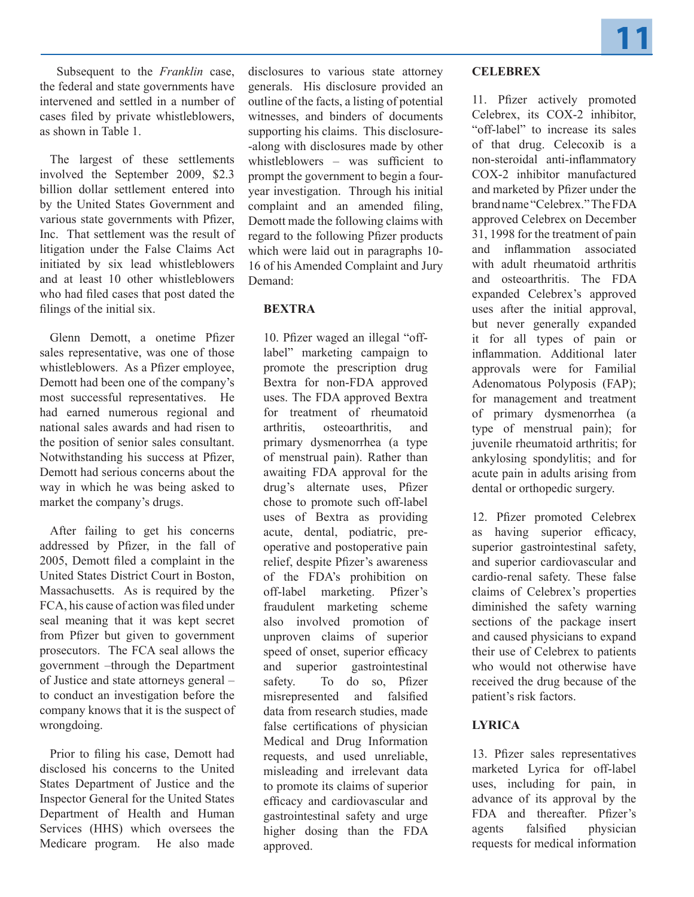Subsequent to the *Franklin* case, the federal and state governments have intervened and settled in a number of cases filed by private whistleblowers, as shown in Table 1.

The largest of these settlements involved the September 2009, \$2.3 billion dollar settlement entered into by the United States Government and various state governments with Pfizer, Inc. That settlement was the result of litigation under the False Claims Act initiated by six lead whistleblowers and at least 10 other whistleblowers who had filed cases that post dated the filings of the initial six.

Glenn Demott, a onetime Pfizer sales representative, was one of those whistleblowers. As a Pfizer employee, Demott had been one of the company's most successful representatives. He had earned numerous regional and national sales awards and had risen to the position of senior sales consultant. Notwithstanding his success at Pfizer, Demott had serious concerns about the way in which he was being asked to market the company's drugs.

After failing to get his concerns addressed by Pfizer, in the fall of 2005, Demott filed a complaint in the United States District Court in Boston, Massachusetts. As is required by the FCA, his cause of action was filed under seal meaning that it was kept secret from Pfizer but given to government prosecutors. The FCA seal allows the government –through the Department of Justice and state attorneys general – to conduct an investigation before the company knows that it is the suspect of wrongdoing.

Prior to filing his case, Demott had disclosed his concerns to the United States Department of Justice and the Inspector General for the United States Department of Health and Human Services (HHS) which oversees the Medicare program. He also made

disclosures to various state attorney generals. His disclosure provided an outline of the facts, a listing of potential witnesses, and binders of documents supporting his claims. This disclosure- -along with disclosures made by other whistleblowers – was sufficient to prompt the government to begin a fouryear investigation. Through his initial complaint and an amended filing, Demott made the following claims with regard to the following Pfizer products which were laid out in paragraphs 10- 16 of his Amended Complaint and Jury Demand:

## **BEXTRA**

10. Pfizer waged an illegal "offlabel" marketing campaign to promote the prescription drug Bextra for non-FDA approved uses. The FDA approved Bextra for treatment of rheumatoid arthritis, osteoarthritis, and primary dysmenorrhea (a type of menstrual pain). Rather than awaiting FDA approval for the drug's alternate uses, Pfizer chose to promote such off-label uses of Bextra as providing acute, dental, podiatric, preoperative and postoperative pain relief, despite Pfizer's awareness of the FDA's prohibition on off-label marketing. Pfizer's fraudulent marketing scheme also involved promotion of unproven claims of superior speed of onset, superior efficacy and superior gastrointestinal safety. To do so, Pfizer misrepresented and falsified data from research studies, made false certifications of physician Medical and Drug Information requests, and used unreliable, misleading and irrelevant data to promote its claims of superior efficacy and cardiovascular and gastrointestinal safety and urge higher dosing than the FDA approved.

## **CELEBREX**

11. Pfizer actively promoted Celebrex, its COX-2 inhibitor, "off-label" to increase its sales of that drug. Celecoxib is a non-steroidal anti-inflammatory COX-2 inhibitor manufactured and marketed by Pfizer under the brand name "Celebrex." The FDA approved Celebrex on December 31, 1998 for the treatment of pain and inflammation associated with adult rheumatoid arthritis and osteoarthritis. The FDA expanded Celebrex's approved uses after the initial approval, but never generally expanded it for all types of pain or inflammation. Additional later approvals were for Familial Adenomatous Polyposis (FAP); for management and treatment of primary dysmenorrhea (a type of menstrual pain); for juvenile rheumatoid arthritis; for ankylosing spondylitis; and for acute pain in adults arising from dental or orthopedic surgery.

12. Pfizer promoted Celebrex as having superior efficacy, superior gastrointestinal safety, and superior cardiovascular and cardio-renal safety. These false claims of Celebrex's properties diminished the safety warning sections of the package insert and caused physicians to expand their use of Celebrex to patients who would not otherwise have received the drug because of the patient's risk factors.

## **LYRICA**

13. Pfizer sales representatives marketed Lyrica for off-label uses, including for pain, in advance of its approval by the FDA and thereafter. Pfizer's agents falsified physician requests for medical information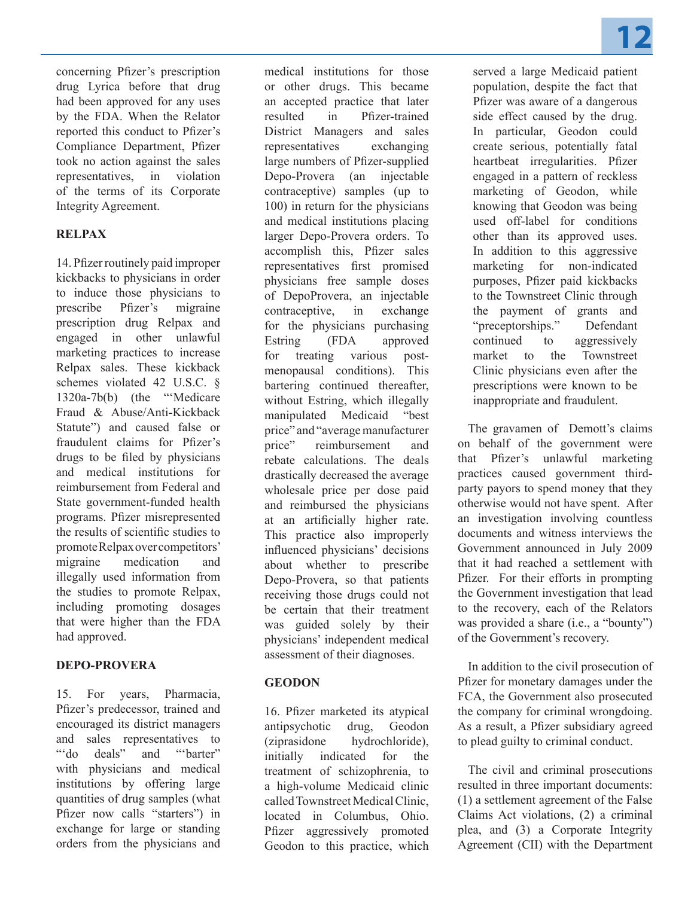Compliance Department, Pfizer took no action against the sales representatives, in violation of the terms of its Corporate Integrity Agreement.

## **RELPAX**

14. Pfizer routinely paid improper kickbacks to physicians in order to induce those physicians to prescribe Pfizer's migraine prescription drug Relpax and engaged in other unlawful marketing practices to increase Relpax sales. These kickback schemes violated 42 U.S.C. § 1320a-7b(b) (the "'Medicare Fraud & Abuse/Anti-Kickback Statute") and caused false or fraudulent claims for Pfizer's drugs to be filed by physicians and medical institutions for reimbursement from Federal and State government-funded health programs. Pfizer misrepresented the results of scientific studies to promote Relpax over competitors' migraine medication and illegally used information from the studies to promote Relpax, including promoting dosages that were higher than the FDA had approved.

## **DEPO-PROVERA**

15. For years, Pharmacia, Pfizer's predecessor, trained and encouraged its district managers and sales representatives to ""do deals" and ""barter" with physicians and medical institutions by offering large quantities of drug samples (what Pfizer now calls "starters") in exchange for large or standing orders from the physicians and

medical institutions for those or other drugs. This became an accepted practice that later resulted in Pfizer-trained District Managers and sales representatives exchanging large numbers of Pfizer-supplied Depo-Provera (an injectable contraceptive) samples (up to 100) in return for the physicians and medical institutions placing larger Depo-Provera orders. To accomplish this, Pfizer sales representatives first promised physicians free sample doses of DepoProvera, an injectable contraceptive, in exchange for the physicians purchasing Estring (FDA approved for treating various postmenopausal conditions). This bartering continued thereafter, without Estring, which illegally manipulated Medicaid "best price" and "average manufacturer price" reimbursement and rebate calculations. The deals drastically decreased the average wholesale price per dose paid and reimbursed the physicians at an artificially higher rate. This practice also improperly influenced physicians' decisions about whether to prescribe Depo-Provera, so that patients receiving those drugs could not be certain that their treatment was guided solely by their physicians' independent medical assessment of their diagnoses.

## **GEODON**

16. Pfizer marketed its atypical antipsychotic drug, Geodon (ziprasidone hydrochloride), initially indicated for the treatment of schizophrenia, to a high-volume Medicaid clinic called Townstreet Medical Clinic, located in Columbus, Ohio. Pfizer aggressively promoted Geodon to this practice, which **12**

served a large Medicaid patient population, despite the fact that Pfizer was aware of a dangerous side effect caused by the drug. In particular, Geodon could create serious, potentially fatal heartbeat irregularities. Pfizer engaged in a pattern of reckless marketing of Geodon, while knowing that Geodon was being used off-label for conditions other than its approved uses. In addition to this aggressive marketing for non-indicated purposes, Pfizer paid kickbacks to the Townstreet Clinic through the payment of grants and "preceptorships." Defendant continued to aggressively market to the Townstreet Clinic physicians even after the prescriptions were known to be inappropriate and fraudulent.

The gravamen of Demott's claims on behalf of the government were that Pfizer's unlawful marketing practices caused government thirdparty payors to spend money that they otherwise would not have spent. After an investigation involving countless documents and witness interviews the Government announced in July 2009 that it had reached a settlement with Pfizer. For their efforts in prompting the Government investigation that lead to the recovery, each of the Relators was provided a share (i.e., a "bounty") of the Government's recovery.

In addition to the civil prosecution of Pfizer for monetary damages under the FCA, the Government also prosecuted the company for criminal wrongdoing. As a result, a Pfizer subsidiary agreed to plead guilty to criminal conduct.

The civil and criminal prosecutions resulted in three important documents: (1) a settlement agreement of the False Claims Act violations, (2) a criminal plea, and (3) a Corporate Integrity Agreement (CII) with the Department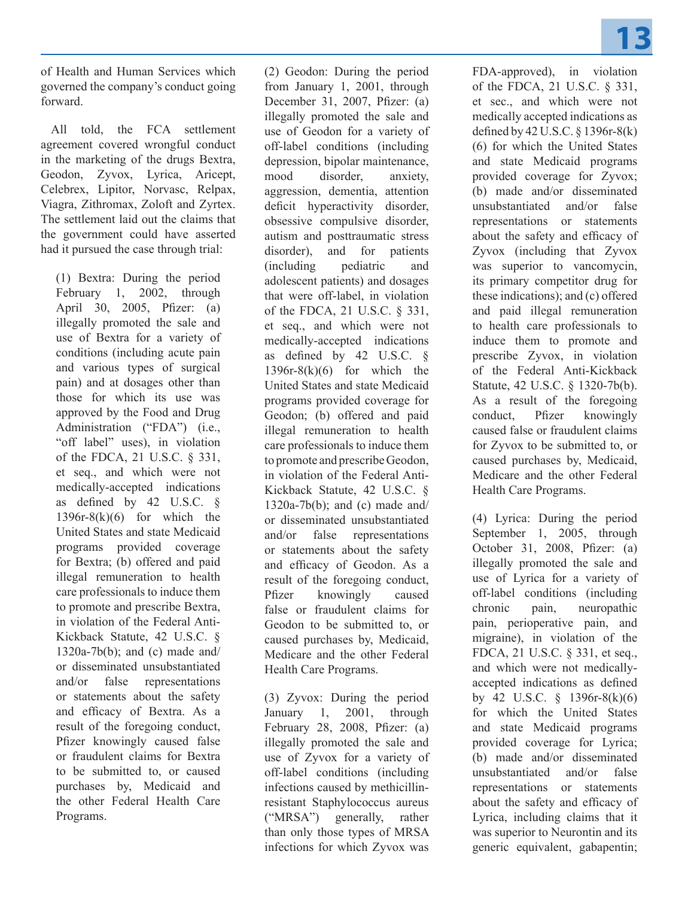of Health and Human Services which governed the company's conduct going forward.

All told, the FCA settlement agreement covered wrongful conduct in the marketing of the drugs Bextra, Geodon, Zyvox, Lyrica, Aricept, Celebrex, Lipitor, Norvasc, Relpax, Viagra, Zithromax, Zoloft and Zyrtex. The settlement laid out the claims that the government could have asserted had it pursued the case through trial:

(1) Bextra: During the period February 1, 2002, through April 30, 2005, Pfizer: (a) illegally promoted the sale and use of Bextra for a variety of conditions (including acute pain and various types of surgical pain) and at dosages other than those for which its use was approved by the Food and Drug Administration ("FDA") (i.e., "off label" uses), in violation of the FDCA, 21 U.S.C. § 331, et seq., and which were not medically-accepted indications as defined by 42 U.S.C. §  $1396r-8(k)(6)$  for which the United States and state Medicaid programs provided coverage for Bextra; (b) offered and paid illegal remuneration to health care professionals to induce them to promote and prescribe Bextra, in violation of the Federal Anti-Kickback Statute, 42 U.S.C. § 1320a-7 $b(b)$ ; and (c) made and/ or disseminated unsubstantiated and/or false representations or statements about the safety and efficacy of Bextra. As a result of the foregoing conduct, Pfizer knowingly caused false or fraudulent claims for Bextra to be submitted to, or caused purchases by, Medicaid and the other Federal Health Care Programs.

(2) Geodon: During the period from January 1, 2001, through December 31, 2007, Pfizer: (a) illegally promoted the sale and use of Geodon for a variety of off-label conditions (including depression, bipolar maintenance, mood disorder, anxiety, aggression, dementia, attention deficit hyperactivity disorder, obsessive compulsive disorder, autism and posttraumatic stress disorder), and for patients (including pediatric and adolescent patients) and dosages that were off-label, in violation of the FDCA, 21 U.S.C. § 331, et seq., and which were not medically-accepted indications as defined by 42 U.S.C. §  $1396r-8(k)(6)$  for which the United States and state Medicaid programs provided coverage for Geodon; (b) offered and paid illegal remuneration to health care professionals to induce them to promote and prescribe Geodon, in violation of the Federal Anti-Kickback Statute, 42 U.S.C. §  $1320a-7b(b)$ ; and (c) made and/ or disseminated unsubstantiated and/or false representations or statements about the safety and efficacy of Geodon. As a result of the foregoing conduct, Pfizer knowingly caused false or fraudulent claims for Geodon to be submitted to, or caused purchases by, Medicaid, Medicare and the other Federal Health Care Programs.

(3) Zyvox: During the period January 1, 2001, through February 28, 2008, Pfizer: (a) illegally promoted the sale and use of Zyvox for a variety of off-label conditions (including infections caused by methicillinresistant Staphylococcus aureus ("MRSA") generally, rather than only those types of MRSA infections for which Zyvox was

FDA-approved), in violation of the FDCA, 21 U.S.C. § 331, et sec., and which were not medically accepted indications as defined by 42 U.S.C. § 1396r-8(k) (6) for which the United States and state Medicaid programs provided coverage for Zyvox; (b) made and/or disseminated unsubstantiated and/or false representations or statements about the safety and efficacy of Zyvox (including that Zyvox was superior to vancomycin, its primary competitor drug for these indications); and (c) offered and paid illegal remuneration to health care professionals to induce them to promote and prescribe Zyvox, in violation of the Federal Anti-Kickback Statute, 42 U.S.C. § 1320-7b(b). As a result of the foregoing conduct, Pfizer knowingly caused false or fraudulent claims for Zyvox to be submitted to, or caused purchases by, Medicaid, Medicare and the other Federal Health Care Programs.

(4) Lyrica: During the period September 1, 2005, through October 31, 2008, Pfizer: (a) illegally promoted the sale and use of Lyrica for a variety of off-label conditions (including chronic pain, neuropathic pain, perioperative pain, and migraine), in violation of the FDCA, 21 U.S.C. § 331, et seq., and which were not medicallyaccepted indications as defined by 42 U.S.C. § 1396r-8(k)(6) for which the United States and state Medicaid programs provided coverage for Lyrica; (b) made and/or disseminated unsubstantiated and/or false representations or statements about the safety and efficacy of Lyrica, including claims that it was superior to Neurontin and its generic equivalent, gabapentin;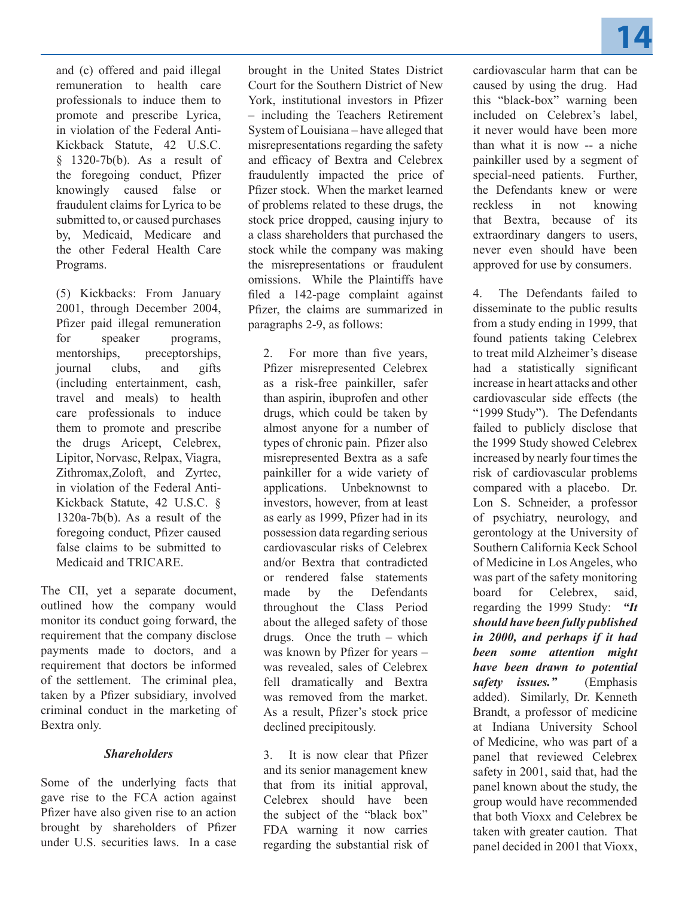**14**

and (c) offered and paid illegal remuneration to health care professionals to induce them to promote and prescribe Lyrica, in violation of the Federal Anti-Kickback Statute, 42 U.S.C. § 1320-7b(b). As a result of the foregoing conduct, Pfizer knowingly caused false or fraudulent claims for Lyrica to be submitted to, or caused purchases by, Medicaid, Medicare and the other Federal Health Care Programs.

(5) Kickbacks: From January 2001, through December 2004, Pfizer paid illegal remuneration for speaker programs, mentorships, preceptorships, journal clubs, and gifts (including entertainment, cash, travel and meals) to health care professionals to induce them to promote and prescribe the drugs Aricept, Celebrex, Lipitor, Norvasc, Relpax, Viagra, Zithromax,Zoloft, and Zyrtec, in violation of the Federal Anti-Kickback Statute, 42 U.S.C. § 1320a-7b(b). As a result of the foregoing conduct, Pfizer caused false claims to be submitted to Medicaid and TRICARE.

The CII, yet a separate document, outlined how the company would monitor its conduct going forward, the requirement that the company disclose payments made to doctors, and a requirement that doctors be informed of the settlement. The criminal plea, taken by a Pfizer subsidiary, involved criminal conduct in the marketing of Bextra only.

#### *Shareholders*

Some of the underlying facts that gave rise to the FCA action against Pfizer have also given rise to an action brought by shareholders of Pfizer under U.S. securities laws. In a case brought in the United States District Court for the Southern District of New York, institutional investors in Pfizer – including the Teachers Retirement System of Louisiana – have alleged that misrepresentations regarding the safety and efficacy of Bextra and Celebrex fraudulently impacted the price of Pfizer stock. When the market learned of problems related to these drugs, the stock price dropped, causing injury to a class shareholders that purchased the stock while the company was making the misrepresentations or fraudulent omissions. While the Plaintiffs have filed a 142-page complaint against Pfizer, the claims are summarized in paragraphs 2-9, as follows:

2. For more than five years, Pfizer misrepresented Celebrex as a risk-free painkiller, safer than aspirin, ibuprofen and other drugs, which could be taken by almost anyone for a number of types of chronic pain. Pfizer also misrepresented Bextra as a safe painkiller for a wide variety of applications. Unbeknownst to investors, however, from at least as early as 1999, Pfizer had in its possession data regarding serious cardiovascular risks of Celebrex and/or Bextra that contradicted or rendered false statements made by the Defendants throughout the Class Period about the alleged safety of those drugs. Once the truth – which was known by Pfizer for years – was revealed, sales of Celebrex fell dramatically and Bextra was removed from the market. As a result, Pfizer's stock price declined precipitously.

3. It is now clear that Pfizer and its senior management knew that from its initial approval, Celebrex should have been the subject of the "black box" FDA warning it now carries regarding the substantial risk of

cardiovascular harm that can be caused by using the drug. Had this "black-box" warning been included on Celebrex's label, it never would have been more than what it is now -- a niche painkiller used by a segment of special-need patients. Further, the Defendants knew or were reckless in not knowing that Bextra, because of its extraordinary dangers to users, never even should have been approved for use by consumers.

4. The Defendants failed to disseminate to the public results from a study ending in 1999, that found patients taking Celebrex to treat mild Alzheimer's disease had a statistically significant increase in heart attacks and other cardiovascular side effects (the "1999 Study"). The Defendants failed to publicly disclose that the 1999 Study showed Celebrex increased by nearly four times the risk of cardiovascular problems compared with a placebo. Dr. Lon S. Schneider, a professor of psychiatry, neurology, and gerontology at the University of Southern California Keck School of Medicine in Los Angeles, who was part of the safety monitoring board for Celebrex, said, regarding the 1999 Study: *"It should have been fully published in 2000, and perhaps if it had been some attention might have been drawn to potential safety issues."* (Emphasis added). Similarly, Dr. Kenneth Brandt, a professor of medicine at Indiana University School of Medicine, who was part of a panel that reviewed Celebrex safety in 2001, said that, had the panel known about the study, the group would have recommended that both Vioxx and Celebrex be taken with greater caution. That panel decided in 2001 that Vioxx,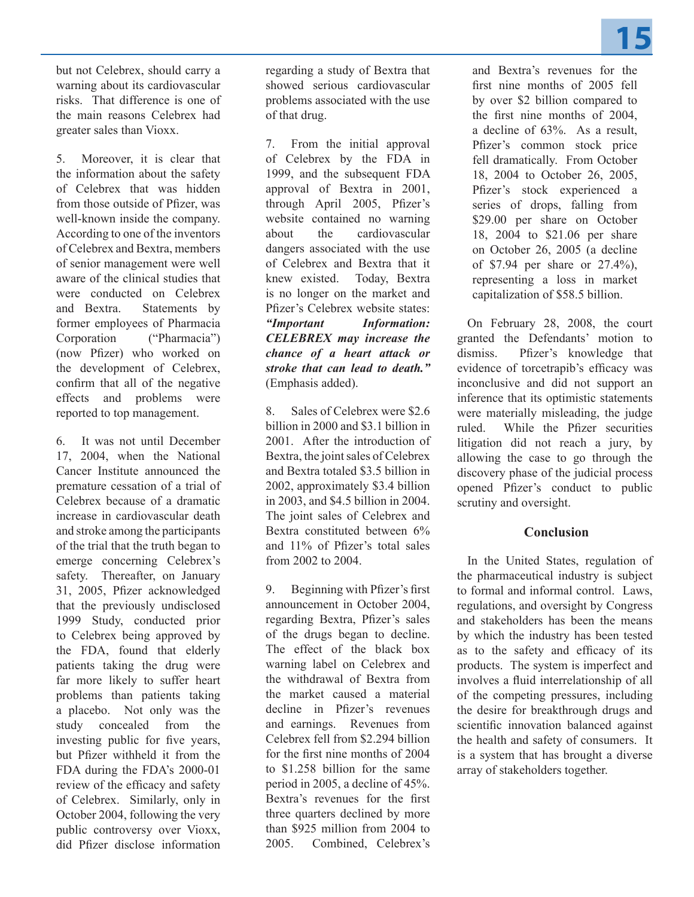

but not Celebrex, should carry a warning about its cardiovascular risks. That difference is one of the main reasons Celebrex had greater sales than Vioxx.

5. Moreover, it is clear that the information about the safety of Celebrex that was hidden from those outside of Pfizer, was well-known inside the company. According to one of the inventors of Celebrex and Bextra, members of senior management were well aware of the clinical studies that were conducted on Celebrex and Bextra. Statements by former employees of Pharmacia Corporation ("Pharmacia") (now Pfizer) who worked on the development of Celebrex, confirm that all of the negative effects and problems were reported to top management.

6. It was not until December 17, 2004, when the National Cancer Institute announced the premature cessation of a trial of Celebrex because of a dramatic increase in cardiovascular death and stroke among the participants of the trial that the truth began to emerge concerning Celebrex's safety. Thereafter, on January 31, 2005, Pfizer acknowledged that the previously undisclosed 1999 Study, conducted prior to Celebrex being approved by the FDA, found that elderly patients taking the drug were far more likely to suffer heart problems than patients taking a placebo. Not only was the study concealed from the investing public for five years, but Pfizer withheld it from the FDA during the FDA's 2000-01 review of the efficacy and safety of Celebrex. Similarly, only in October 2004, following the very public controversy over Vioxx, did Pfizer disclose information

regarding a study of Bextra that showed serious cardiovascular problems associated with the use of that drug.

7. From the initial approval of Celebrex by the FDA in 1999, and the subsequent FDA approval of Bextra in 2001, through April 2005, Pfizer's website contained no warning about the cardiovascular dangers associated with the use of Celebrex and Bextra that it knew existed. Today, Bextra is no longer on the market and Pfizer's Celebrex website states: *"Important Information: CELEBREX may increase the chance of a heart attack or stroke that can lead to death."* (Emphasis added).

8. Sales of Celebrex were \$2.6 billion in 2000 and \$3.1 billion in 2001. After the introduction of Bextra, the joint sales of Celebrex and Bextra totaled \$3.5 billion in 2002, approximately \$3.4 billion in 2003, and \$4.5 billion in 2004. The joint sales of Celebrex and Bextra constituted between 6% and 11% of Pfizer's total sales from 2002 to 2004.

9. Beginning with Pfizer's first announcement in October 2004, regarding Bextra, Pfizer's sales of the drugs began to decline. The effect of the black box warning label on Celebrex and the withdrawal of Bextra from the market caused a material decline in Pfizer's revenues and earnings. Revenues from Celebrex fell from \$2.294 billion for the first nine months of 2004 to \$1.258 billion for the same period in 2005, a decline of 45%. Bextra's revenues for the first three quarters declined by more than \$925 million from 2004 to 2005. Combined, Celebrex's

and Bextra's revenues for the first nine months of 2005 fell by over \$2 billion compared to the first nine months of 2004, a decline of 63%. As a result, Pfizer's common stock price fell dramatically. From October 18, 2004 to October 26, 2005, Pfizer's stock experienced a series of drops, falling from \$29.00 per share on October 18, 2004 to \$21.06 per share on October 26, 2005 (a decline of \$7.94 per share or 27.4%), representing a loss in market capitalization of \$58.5 billion.

On February 28, 2008, the court granted the Defendants' motion to dismiss. Pfizer's knowledge that evidence of torcetrapib's efficacy was inconclusive and did not support an inference that its optimistic statements were materially misleading, the judge ruled. While the Pfizer securities litigation did not reach a jury, by allowing the case to go through the discovery phase of the judicial process opened Pfizer's conduct to public scrutiny and oversight.

## **Conclusion**

In the United States, regulation of the pharmaceutical industry is subject to formal and informal control. Laws, regulations, and oversight by Congress and stakeholders has been the means by which the industry has been tested as to the safety and efficacy of its products. The system is imperfect and involves a fluid interrelationship of all of the competing pressures, including the desire for breakthrough drugs and scientific innovation balanced against the health and safety of consumers. It is a system that has brought a diverse array of stakeholders together.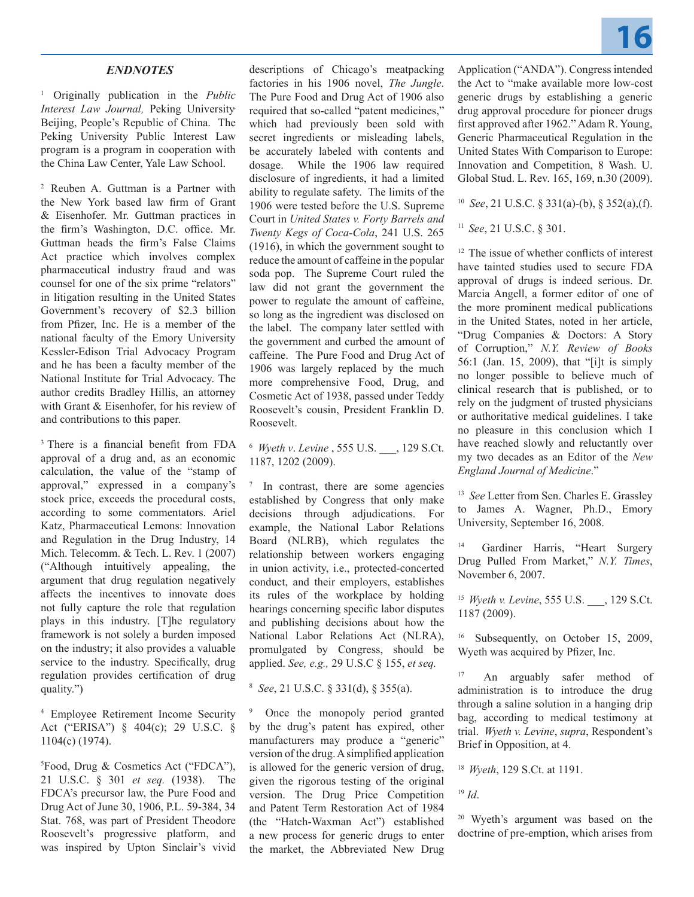### *ENDNOTES*

1 Originally publication in the *Public Interest Law Journal,* Peking University, Beijing, People's Republic of China. The Peking University Public Interest Law program is a program in cooperation with the China Law Center, Yale Law School.

2 Reuben A. Guttman is a Partner with the New York based law firm of Grant & Eisenhofer. Mr. Guttman practices in the firm's Washington, D.C. office. Mr. Guttman heads the firm's False Claims Act practice which involves complex pharmaceutical industry fraud and was counsel for one of the six prime "relators" in litigation resulting in the United States Government's recovery of \$2.3 billion from Pfizer, Inc. He is a member of the national faculty of the Emory University Kessler-Edison Trial Advocacy Program and he has been a faculty member of the National Institute for Trial Advocacy. The author credits Bradley Hillis, an attorney with Grant & Eisenhofer, for his review of and contributions to this paper.

3 There is a financial benefit from FDA approval of a drug and, as an economic calculation, the value of the "stamp of approval," expressed in a company's stock price, exceeds the procedural costs, according to some commentators. Ariel Katz, Pharmaceutical Lemons: Innovation and Regulation in the Drug Industry, 14 Mich. Telecomm. & Tech. L. Rev. 1 (2007) ("Although intuitively appealing, the argument that drug regulation negatively affects the incentives to innovate does not fully capture the role that regulation plays in this industry. [T]he regulatory framework is not solely a burden imposed on the industry; it also provides a valuable service to the industry. Specifically, drug regulation provides certification of drug quality.")

4 Employee Retirement Income Security Act ("ERISA") § 404(c); 29 U.S.C. § 1104(c) (1974).

5 Food, Drug & Cosmetics Act ("FDCA"), 21 U.S.C. § 301 *et seq.* (1938). The FDCA's precursor law, the Pure Food and Drug Act of June 30, 1906, P.L. 59-384, 34 Stat. 768, was part of President Theodore Roosevelt's progressive platform, and was inspired by Upton Sinclair's vivid

descriptions of Chicago's meatpacking factories in his 1906 novel, *The Jungle*. The Pure Food and Drug Act of 1906 also required that so-called "patent medicines," which had previously been sold with secret ingredients or misleading labels, be accurately labeled with contents and dosage. While the 1906 law required disclosure of ingredients, it had a limited ability to regulate safety. The limits of the 1906 were tested before the U.S. Supreme Court in *United States v. Forty Barrels and Twenty Kegs of Coca-Cola*, 241 U.S. 265 (1916), in which the government sought to reduce the amount of caffeine in the popular soda pop. The Supreme Court ruled the law did not grant the government the power to regulate the amount of caffeine, so long as the ingredient was disclosed on the label. The company later settled with the government and curbed the amount of caffeine. The Pure Food and Drug Act of 1906 was largely replaced by the much more comprehensive Food, Drug, and Cosmetic Act of 1938, passed under Teddy Roosevelt's cousin, President Franklin D. Roosevelt.

6 *Wyeth v*. *Levine* , 555 U.S. \_\_\_, 129 S.Ct. 1187, 1202 (2009).

<sup>7</sup> In contrast, there are some agencies established by Congress that only make decisions through adjudications. For example, the National Labor Relations Board (NLRB), which regulates the relationship between workers engaging in union activity, i.e., protected-concerted conduct, and their employers, establishes its rules of the workplace by holding hearings concerning specific labor disputes and publishing decisions about how the National Labor Relations Act (NLRA), promulgated by Congress, should be applied. *See, e.g.,* 29 U.S.C § 155, *et seq.*

8 *See*, 21 U.S.C. § 331(d), § 355(a).

Once the monopoly period granted by the drug's patent has expired, other manufacturers may produce a "generic" version of the drug. A simplified application is allowed for the generic version of drug, given the rigorous testing of the original version. The Drug Price Competition and Patent Term Restoration Act of 1984 (the "Hatch-Waxman Act") established a new process for generic drugs to enter the market, the Abbreviated New Drug Application ("ANDA"). Congress intended the Act to "make available more low-cost generic drugs by establishing a generic drug approval procedure for pioneer drugs first approved after 1962." Adam R. Young, Generic Pharmaceutical Regulation in the United States With Comparison to Europe: Innovation and Competition, 8 Wash. U. Global Stud. L. Rev. 165, 169, n.30 (2009).

10 *See*, 21 U.S.C. § 331(a)-(b), § 352(a),(f).

<sup>11</sup>*See*, 21 U.S.C. § 301.

<sup>12</sup> The issue of whether conflicts of interest have tainted studies used to secure FDA approval of drugs is indeed serious. Dr. Marcia Angell, a former editor of one of the more prominent medical publications in the United States, noted in her article, "Drug Companies & Doctors: A Story of Corruption," *N.Y. Review of Books* 56:1 (Jan. 15, 2009), that "[i]t is simply no longer possible to believe much of clinical research that is published, or to rely on the judgment of trusted physicians or authoritative medical guidelines. I take no pleasure in this conclusion which I have reached slowly and reluctantly over my two decades as an Editor of the *New England Journal of Medicine*."

13 *See* Letter from Sen. Charles E. Grassley to James A. Wagner, Ph.D., Emory University, September 16, 2008.

Gardiner Harris, "Heart Surgery Drug Pulled From Market," *N.Y. Times*, November 6, 2007.

<sup>15</sup>*Wyeth v. Levine*, 555 U.S. \_\_\_, 129 S.Ct. 1187 (2009).

<sup>16</sup> Subsequently, on October 15, 2009, Wyeth was acquired by Pfizer, Inc.

17 An arguably safer method of administration is to introduce the drug through a saline solution in a hanging drip bag, according to medical testimony at trial. *Wyeth v. Levine*, *supra*, Respondent's Brief in Opposition, at 4.

<sup>18</sup>*Wyeth*, 129 S.Ct. at 1191.

<sup>19</sup> *Id*.

20 Wyeth's argument was based on the doctrine of pre-emption, which arises from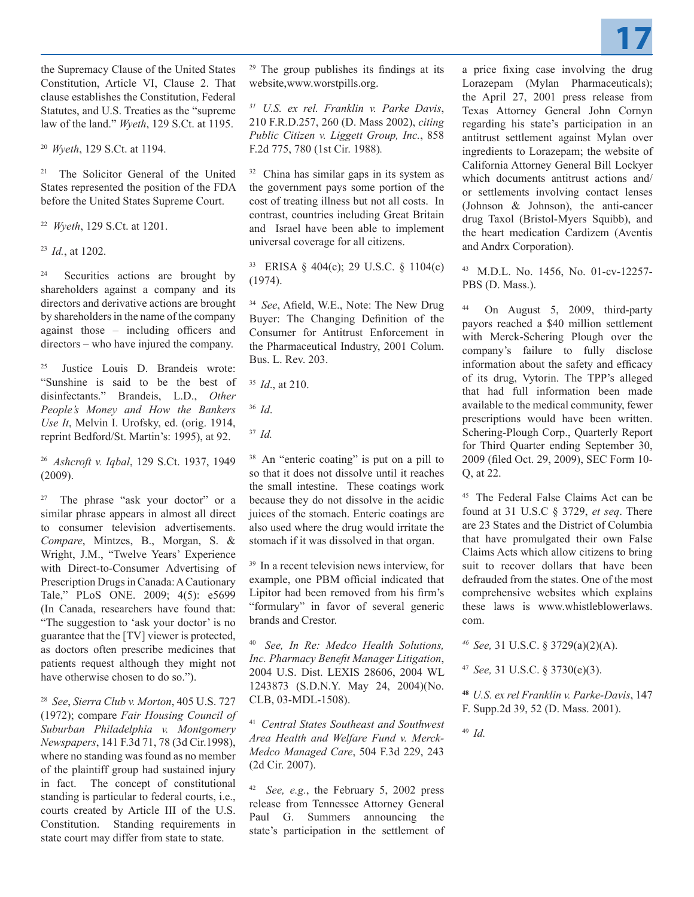

the Supremacy Clause of the United States Constitution, Article VI, Clause 2. That clause establishes the Constitution, Federal Statutes, and U.S. Treaties as the "supreme law of the land." *Wyeth*, 129 S.Ct. at 1195.

<sup>20</sup>*Wyeth*, 129 S.Ct. at 1194.

21 The Solicitor General of the United States represented the position of the FDA before the United States Supreme Court.

22 *Wyeth*, 129 S.Ct. at 1201.

<sup>23</sup>*Id.*, at 1202.

<sup>24</sup> Securities actions are brought by shareholders against a company and its directors and derivative actions are brought by shareholders in the name of the company against those – including officers and directors – who have injured the company.

25 Justice Louis D. Brandeis wrote: "Sunshine is said to be the best of disinfectants." Brandeis, L.D., *Other People's Money and How the Bankers Use It*, Melvin I. Urofsky, ed. (orig. 1914, reprint Bedford/St. Martin's: 1995), at 92.

<sup>26</sup>*Ashcroft v. Iqbal*, 129 S.Ct. 1937, 1949 (2009).

27 The phrase "ask your doctor" or a similar phrase appears in almost all direct to consumer television advertisements. *Compare*, Mintzes, B., Morgan, S. & Wright, J.M., "Twelve Years' Experience with Direct-to-Consumer Advertising of Prescription Drugs in Canada: A Cautionary Tale," PLoS ONE. 2009; 4(5): e5699 (In Canada, researchers have found that: "The suggestion to 'ask your doctor' is no guarantee that the [TV] viewer is protected, as doctors often prescribe medicines that patients request although they might not have otherwise chosen to do so.").

28 *See*, *Sierra Club v. Morton*, 405 U.S. 727 (1972); compare *Fair Housing Council of Suburban Philadelphia v. Montgomery Newspapers*, 141 F.3d 71, 78 (3d Cir.1998), where no standing was found as no member of the plaintiff group had sustained injury in fact. The concept of constitutional standing is particular to federal courts, i.e., courts created by Article III of the U.S. Constitution. Standing requirements in state court may differ from state to state.

<sup>29</sup> The group publishes its findings at its website,www.worstpills.org.

*31 U.S. ex rel. Franklin v. Parke Davis*, 210 F.R.D.257, 260 (D. Mass 2002), *citing Public Citizen v. Liggett Group, Inc.*, 858 F.2d 775, 780 (1st Cir. 1988)*.*

32 China has similar gaps in its system as the government pays some portion of the cost of treating illness but not all costs. In contrast, countries including Great Britain and Israel have been able to implement universal coverage for all citizens.

33 ERISA § 404(c); 29 U.S.C. § 1104(c) (1974).

<sup>34</sup>*See*, Afield, W.E., Note: The New Drug Buyer: The Changing Definition of the Consumer for Antitrust Enforcement in the Pharmaceutical Industry, 2001 Colum. Bus. L. Rev. 203.

<sup>35</sup>*Id*., at 210.

- <sup>36</sup>*Id*.
- <sup>37</sup>*Id.*

38 An "enteric coating" is put on a pill to so that it does not dissolve until it reaches the small intestine. These coatings work because they do not dissolve in the acidic juices of the stomach. Enteric coatings are also used where the drug would irritate the stomach if it was dissolved in that organ.

<sup>39</sup> In a recent television news interview, for example, one PBM official indicated that Lipitor had been removed from his firm's "formulary" in favor of several generic brands and Crestor.

<sup>40</sup>*See, In Re: Medco Health Solutions, Inc. Pharmacy Benefit Manager Litigation*, 2004 U.S. Dist. LEXIS 28606, 2004 WL 1243873 (S.D.N.Y. May 24, 2004)(No. CLB, 03-MDL-1508).

<sup>41</sup>*Central States Southeast and Southwest Area Health and Welfare Fund v. Merck-Medco Managed Care*, 504 F.3d 229, 243 (2d Cir. 2007).

42 *See, e.g.*, the February 5, 2002 press release from Tennessee Attorney General Paul G. Summers announcing the state's participation in the settlement of a price fixing case involving the drug Lorazepam (Mylan Pharmaceuticals); the April 27, 2001 press release from Texas Attorney General John Cornyn regarding his state's participation in an antitrust settlement against Mylan over ingredients to Lorazepam; the website of California Attorney General Bill Lockyer which documents antitrust actions and/ or settlements involving contact lenses (Johnson & Johnson), the anti-cancer drug Taxol (Bristol-Myers Squibb), and the heart medication Cardizem (Aventis and Andrx Corporation).

43 M.D.L. No. 1456, No. 01-cv-12257- PBS (D. Mass.).

On August 5, 2009, third-party payors reached a \$40 million settlement with Merck-Schering Plough over the company's failure to fully disclose information about the safety and efficacy of its drug, Vytorin. The TPP's alleged that had full information been made available to the medical community, fewer prescriptions would have been written. Schering-Plough Corp., Quarterly Report for Third Quarter ending September 30, 2009 (filed Oct. 29, 2009), SEC Form 10- Q, at 22.

45 The Federal False Claims Act can be found at 31 U.S.C § 3729, *et seq*. There are 23 States and the District of Columbia that have promulgated their own False Claims Acts which allow citizens to bring suit to recover dollars that have been defrauded from the states. One of the most comprehensive websites which explains these laws is www.whistleblowerlaws. com.

*46 See,* 31 U.S.C. § 3729(a)(2)(A).

<sup>47</sup>*See,* 31 U.S.C. § 3730(e)(3).

**<sup>48</sup>***U.S. ex rel Franklin v. Parke-Davis*, 147 F. Supp.2d 39, 52 (D. Mass. 2001).

<sup>49</sup>*Id.*